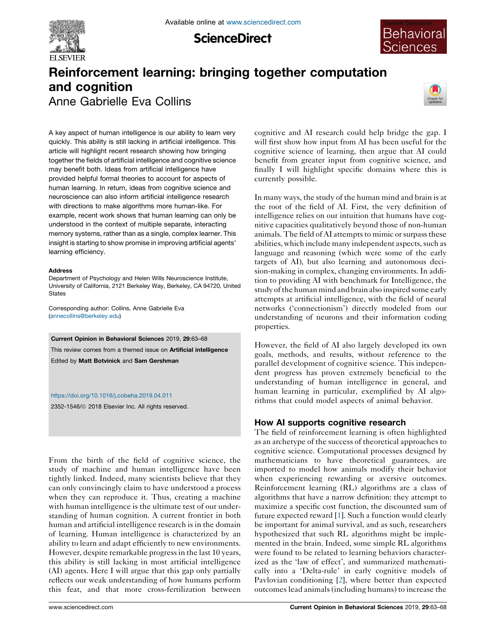

**ScienceDirect** 



# Reinforcement learning: bringing together computation and cognition Anne Gabrielle Eva Collins



A key aspect of human intelligence is our ability to learn very quickly. This ability is still lacking in artificial intelligence. This article will highlight recent research showing how bringing together the fields of artificial intelligence and cognitive science may benefit both. Ideas from artificial intelligence have provided helpful formal theories to account for aspects of human learning. In return, ideas from cognitive science and neuroscience can also inform artificial intelligence research with directions to make algorithms more human-like. For example, recent work shows that human learning can only be understood in the context of multiple separate, interacting memory systems, rather than as a single, complex learner. This insight is starting to show promise in improving artificial agents' learning efficiency.

#### Address

Department of Psychology and Helen Wills Neuroscience Institute, University of California, 2121 Berkeley Way, Berkeley, CA 94720, United **States** 

Corresponding author: Collins, Anne Gabrielle Eva ([annecollins@berkeley.edu](mailto:annecollins@berkeley.edu))

Current Opinion in Behavioral Sciences 2019, 29:63–68

This review comes from a themed issue on Artificial intelligence Edited by Matt Botvinick and Sam Gershman

<https://doi.org/10.1016/j.cobeha.2019.04.011>

2352-1546/ã 2018 Elsevier Inc. All rights reserved.

From the birth of the field of cognitive science, the study of machine and human intelligence have been tightly linked. Indeed, many scientists believe that they can only convincingly claim to have understood a process when they can reproduce it. Thus, creating a machine with human intelligence is the ultimate test of our understanding of human cognition. A current frontier in both human and artificial intelligence research is in the domain of learning. Human intelligence is characterized by an ability to learn and adapt efficiently to new environments. However, despite remarkable progress in the last 10 years, this ability is still lacking in most artificial intelligence (AI) agents. Here I will argue that this gap only partially reflects our weak understanding of how humans perform this feat, and that more cross-fertilization between cognitive and AI research could help bridge the gap. I will first show how input from AI has been useful for the cognitive science of learning, then argue that AI could benefit from greater input from cognitive science, and finally I will highlight specific domains where this is currently possible.

In many ways, the study of the human mind and brain is at the root of the field of AI. First, the very definition of intelligence relies on our intuition that humans have cognitive capacities qualitatively beyond those of non-human animals. The field of AI attempts to mimic or surpass these abilities, which include many independent aspects, such as language and reasoning (which were some of the early targets of AI), but also learning and autonomous decision-making in complex, changing environments. In addition to providing AI with benchmark for Intelligence, the study of the human mind and brain also inspired some early attempts at artificial intelligence, with the field of neural networks ('connectionism') directly modeled from our understanding of neurons and their information coding properties.

However, the field of AI also largely developed its own goals, methods, and results, without reference to the parallel development of cognitive science. This independent progress has proven extremely beneficial to the understanding of human intelligence in general, and human learning in particular, exemplified by AI algorithms that could model aspects of animal behavior.

#### How AI supports cognitive research

The field of reinforcement learning is often highlighted as an archetype of the success of theoretical approaches to cognitive science. Computational processes designed by mathematicians to have theoretical guarantees, are imported to model how animals modify their behavior when experiencing rewarding or aversive outcomes. Reinforcement learning (RL) algorithms are a class of algorithms that have a narrow definition: they attempt to maximize a specific cost function, the discounted sum of future expected reward [[1\]](#page-3-0). Such a function would clearly be important for animal survival, and as such, researchers hypothesized that such RL algorithms might be implemented in the brain. Indeed, some simple RL algorithms were found to be related to learning behaviors characterized as the 'law of effect', and summarized mathematically into a 'Delta-rule' in early cognitive models of Pavlovian conditioning [\[2](#page-3-0)], where better than expected outcomes lead animals (including humans) to increase the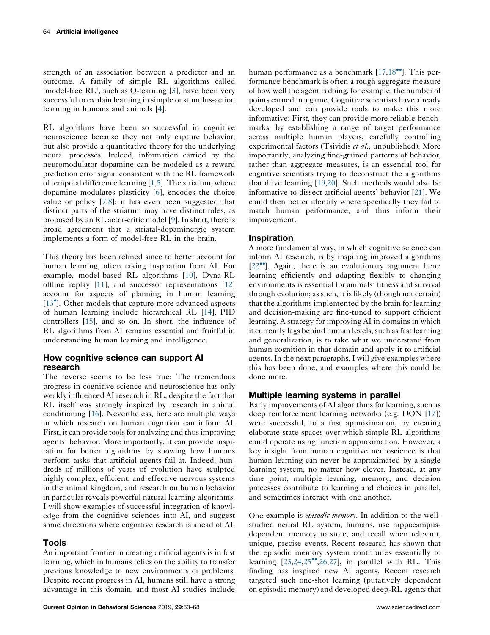strength of an association between a predictor and an outcome. A family of simple RL algorithms called 'model-free RL', such as Q-learning [[3\]](#page-3-0), have been very successful to explain learning in simple or stimulus-action learning in humans and animals [\[4](#page-3-0)].

RL algorithms have been so successful in cognitive neuroscience because they not only capture behavior, but also provide a quantitative theory for the underlying neural processes. Indeed, information carried by the neuromodulator dopamine can be modeled as a reward prediction error signal consistent with the RL framework of temporal difference learning [\[1](#page-3-0),[5\]](#page-3-0). The striatum, where dopamine modulates plasticity [[6\]](#page-3-0), encodes the choice value or policy [[7,8](#page-3-0)]; it has even been suggested that distinct parts of the striatum may have distinct roles, as proposed by an RL actor-critic model [[9\]](#page-3-0).In short, there is broad agreement that a striatal-dopaminergic system implements a form of model-free RL in the brain.

This theory has been refined since to better account for human learning, often taking inspiration from AI. For example, model-based RL algorithms [[10\]](#page-3-0), Dyna-RL offline replay [[11\]](#page-3-0), and successor representations [[12\]](#page-4-0) account for aspects of planning in human learning [\[13](#page-4-0)<sup>°</sup>]. Other models that capture more advanced aspects of human learning include hierarchical RL [[14\]](#page-4-0), PID controllers [[15\]](#page-4-0), and so on. In short, the influence of RL algorithms from AI remains essential and fruitful in understanding human learning and intelligence.

## How cognitive science can support AI research

The reverse seems to be less true: The tremendous progress in cognitive science and neuroscience has only weakly influenced AI research in RL, despite the fact that RL itself was strongly inspired by research in animal conditioning [[16\]](#page-4-0). Nevertheless, here are multiple ways in which research on human cognition can inform AI. First, it can provide tools for analyzing and thus improving agents' behavior. More importantly, it can provide inspiration for better algorithms by showing how humans perform tasks that artificial agents fail at. Indeed, hundreds of millions of years of evolution have sculpted highly complex, efficient, and effective nervous systems in the animal kingdom, and research on human behavior in particular reveals powerful natural learning algorithms. I will show examples of successful integration of knowledge from the cognitive sciences into AI, and suggest some directions where cognitive research is ahead of AI.

# Tools

An important frontier in creating artificial agents is in fast learning, which in humans relies on the ability to transfer previous knowledge to new environments or problems. Despite recent progress in AI, humans still have a strong advantage in this domain, and most AI studies include human performance as a benchmark  $[17,18\text{°}']$  $[17,18\text{°}']$  $[17,18\text{°}']$ . This performance benchmark is often a rough aggregate measure of how well the agent is doing, for example, the number of points earned in a game. Cognitive scientists have already developed and can provide tools to make this more informative: First, they can provide more reliable benchmarks, by establishing a range of target performance across multiple human players, carefully controlling experimental factors (Tsividis et al., unpublished). More importantly, analyzing fine-grained patterns of behavior, rather than aggregate measures, is an essential tool for cognitive scientists trying to deconstruct the algorithms that drive learning [[19,20](#page-4-0)]. Such methods would also be informative to dissect artificial agents' behavior [\[21](#page-4-0)]. We could then better identify where specifically they fail to match human performance, and thus inform their improvement.

# Inspiration

A more fundamental way, in which cognitive science can inform AI research, is by inspiring improved algorithms  $[22$ <sup>\*\*</sup>]. Again, there is an evolutionary argument here: learning efficiently and adapting flexibly to changing environments is essential for animals' fitness and survival through evolution; as such, it is likely (though not certain) that the algorithms implemented by the brain for learning and decision-making are fine-tuned to support efficient learning. A strategy for improving AI in domains in which it currently lags behind human levels, such as fast learning and generalization, is to take what we understand from human cognition in that domain and apply it to artificial agents. In the next paragraphs, I will give examples where this has been done, and examples where this could be done more.

# Multiple learning systems in parallel

Early improvements of AI algorithms for learning, such as deep reinforcement learning networks (e.g. DQN [[17\]](#page-4-0)) were successful, to a first approximation, by creating elaborate state spaces over which simple RL algorithms could operate using function approximation. However, a key insight from human cognitive neuroscience is that human learning can never be approximated by a single learning system, no matter how clever. Instead, at any time point, multiple learning, memory, and decision processes contribute to learning and choices in parallel, and sometimes interact with one another.

One example is *episodic memory*. In addition to the wellstudied neural RL system, humans, use hippocampusdependent memory to store, and recall when relevant, unique, precise events. Recent research has shown that the episodic memory system contributes essentially to learning  $[23,24,25^{\bullet\bullet},26,27]$  $[23,24,25^{\bullet\bullet},26,27]$  $[23,24,25^{\bullet\bullet},26,27]$  $[23,24,25^{\bullet\bullet},26,27]$  $[23,24,25^{\bullet\bullet},26,27]$  $[23,24,25^{\bullet\bullet},26,27]$  $[23,24,25^{\bullet\bullet},26,27]$  $[23,24,25^{\bullet\bullet},26,27]$ , in parallel with RL. This finding has inspired new AI agents. Recent research targeted such one-shot learning (putatively dependent on episodic memory) and developed deep-RL agents that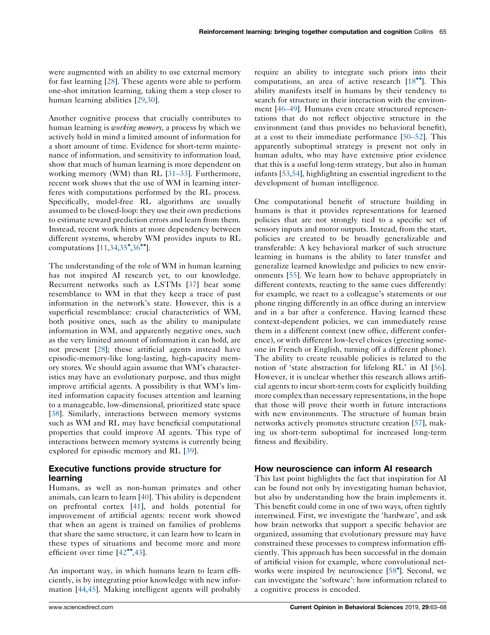were augmented with an ability to use external memory for fast learning [[28\]](#page-4-0). These agents were able to perform one-shot imitation learning, taking them a step closer to human learning abilities [\[29](#page-4-0),[30\]](#page-4-0).

Another cognitive process that crucially contributes to human learning is *working memory*, a process by which we actively hold in mind a limited amount of information for a short amount of time. Evidence for short-term maintenance of information, and sensitivity to information load, show that much of human learning is more dependent on working memory (WM) than RL [\[31–33](#page-4-0)]. Furthermore, recent work shows that the use of WM in learning interferes with computations performed by the RL process. Specifically, model-free RL algorithms are usually assumed to be closed-loop: they use their own predictions to estimate reward prediction errors and learn from them. Instead, recent work hints at more dependency between different systems, whereby WM provides inputs to RL computations [[11,](#page-3-0)[34](#page-4-0),[35](#page-4-0)<sup>°</sup>[,36](#page-4-0)<sup>°</sup>].

The understanding of the role of WM in human learning has not inspired AI research yet, to our knowledge. Recurrent networks such as LSTMs [[37\]](#page-4-0) bear some resemblance to WM in that they keep a trace of past information in the network's state. However, this is a superficial resemblance: crucial characteristics of WM, both positive ones, such as the ability to manipulate information in WM, and apparently negative ones, such as the very limited amount of information it can hold, are not present [\[28](#page-4-0)]; these artificial agents instead have episodic-memory-like long-lasting, high-capacity memory stores. We should again assume that WM's characteristics may have an evolutionary purpose, and thus might improve artificial agents. A possibility is that WM's limited information capacity focuses attention and learning to a manageable, low-dimensional, prioritized state space [\[38](#page-4-0)]. Similarly, interactions between memory systems such as WM and RL may have beneficial computational properties that could improve AI agents. This type of interactions between memory systems is currently being explored for episodic memory and RL [[39\]](#page-4-0).

#### Executive functions provide structure for learning

Humans, as well as non-human primates and other animals, can learn to learn [\[40](#page-4-0)]. This ability is dependent on prefrontal cortex [\[41](#page-4-0)], and holds potential for improvement of artificial agents: recent work showed that when an agent is trained on families of problems that share the same structure, it can learn how to learn in these types of situations and become more and more efficient over time  $[42^{\bullet\bullet}, 43]$  $[42^{\bullet\bullet}, 43]$ .

An important way, in which humans learn to learn efficiently, is by integrating prior knowledge with new information [[44](#page-4-0),[45\]](#page-4-0). Making intelligent agents will probably require an ability to integrate such priors into their computations, an area of active research  $[18\degree$  $[18\degree$ <sup>o</sup>. This ability manifests itself in humans by their tendency to search for structure in their interaction with the environment [[46–49\]](#page-4-0). Humans even create structured representations that do not reflect objective structure in the environment (and thus provides no behavioral benefit), at a cost to their immediate performance [[50–52\]](#page-4-0). This apparently suboptimal strategy is present not only in human adults, who may have extensive prior evidence that this is a useful long-term strategy, but also in human infants [[53,54](#page-5-0)], highlighting an essential ingredient to the development of human intelligence.

One computational benefit of structure building in humans is that it provides representations for learned policies that are not strongly tied to a specific set of sensory inputs and motor outputs. Instead, from the start, policies are created to be broadly generalizable and transferable: A key behavioral marker of such structure learning in humans is the ability to later transfer and generalize learned knowledge and policies to new environments [[55\]](#page-5-0). We learn how to behave appropriately in different contexts, reacting to the same cues differently: for example, we react to a colleague's statements or our phone ringing differently in an office during an interview and in a bar after a conference. Having learned these context-dependent policies, we can immediately reuse them in a different context (new office, different conference), or with different low-level choices (greeting someone in French or English, turning off a different phone). The ability to create reusable policies is related to the notion of 'state abstraction for lifelong RL' in AI [[56\]](#page-5-0). However, it is unclear whether this research allows artificial agents to incur short-term costs for explicitly building more complex than necessary representations, in the hope that those will prove their worth in future interactions with new environments. The structure of human brain networks actively promotes structure creation [\[57](#page-5-0)], making us short-term suboptimal for increased long-term fitness and flexibility.

#### How neuroscience can inform AI research

This last point highlights the fact that inspiration for AI can be found not only by investigating human behavior, but also by understanding how the brain implements it. This benefit could come in one of two ways, often tightly intertwined. First, we investigate the 'hardware', and ask how brain networks that support a specific behavior are organized, assuming that evolutionary pressure may have constrained these processes to compress information efficiently. This approach has been successful in the domain of artificial vision for example, where convolutional networks were inspired by neuroscience [\[58](#page-5-0) ]. Second, we can investigate the 'software': how information related to a cognitive process is encoded.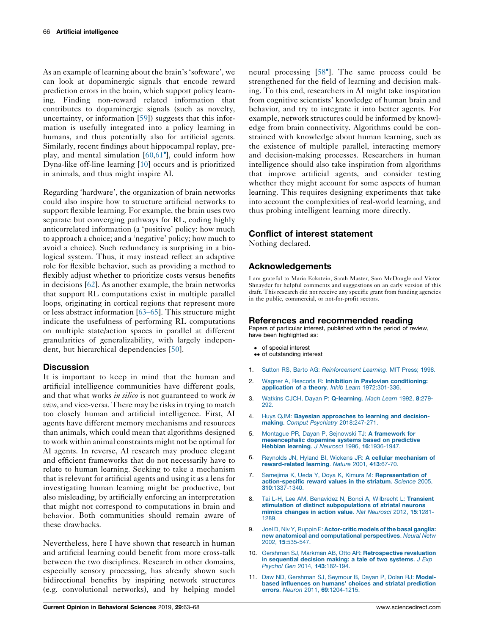<span id="page-3-0"></span>As an example of learning about the brain's 'software', we can look at dopaminergic signals that encode reward prediction errors in the brain, which support policy learning. Finding non-reward related information that contributes to dopaminergic signals (such as novelty, uncertainty, or information [[59\]](#page-5-0)) suggests that this information is usefully integrated into a policy learning in humans, and thus potentially also for artificial agents. Similarly, recent findings about hippocampal replay, preplay, and mental simulation [[60,61](#page-5-0) ], could inform how Dyna-like off-line learning [10] occurs and is prioritized in animals, and thus might inspire AI.

Regarding 'hardware', the organization of brain networks could also inspire how to structure artificial networks to support flexible learning. For example, the brain uses two separate but converging pathways for RL, coding highly anticorrelated information (a 'positive' policy: how much to approach a choice; and a 'negative' policy; how much to avoid a choice). Such redundancy is surprising in a biological system. Thus, it may instead reflect an adaptive role for flexible behavior, such as providing a method to flexibly adjust whether to prioritize costs versus benefits in decisions [[62\]](#page-5-0). As another example, the brain networks that support RL computations exist in multiple parallel loops, originating in cortical regions that represent more or less abstract information [\[63–65](#page-5-0)]. This structure might indicate the usefulness of performing RL computations on multiple state/action spaces in parallel at different granularities of generalizability, with largely independent, but hierarchical dependencies [\[50](#page-4-0)].

#### **Discussion**

It is important to keep in mind that the human and artificial intelligence communities have different goals, and that what works in silico is not guaranteed to work in vivo, and vice-versa. There may be risks in trying to match too closely human and artificial intelligence. First, AI agents have different memory mechanisms and resources than animals, which could mean that algorithms designed to work within animal constraints might not be optimal for AI agents. In reverse, AI research may produce elegant and efficient frameworks that do not necessarily have to relate to human learning. Seeking to take a mechanism that is relevant for artificial agents and using it as a lens for investigating human learning might be productive, but also misleading, by artificially enforcing an interpretation that might not correspond to computations in brain and behavior. Both communities should remain aware of these drawbacks.

Nevertheless, here I have shown that research in human and artificial learning could benefit from more cross-talk between the two disciplines. Research in other domains, especially sensory processing, has already shown such bidirectional benefits by inspiring network structures (e.g. convolutional networks), and by helping model

neural [process](#page-5-0)ing [58<sup>°</sup>]. The same process could be strengthened for the field of learning and decision making. To this end, researchers in AI might take inspiration from cognitive scientists' knowledge of human brain and behavior, and try to integrate it into better agents. For example, network structures could be informed by knowledge from brain connectivity. Algorithms could be constrained with knowledge about human learning, such as the existence of multiple parallel, interacting memory and decision-making processes. Researchers in human intelligence should also take inspiration from algorithms that improve artificial agents, and consider testing whether they might account for some aspects of human learning. This requires designing experiments that take into account the complexities of real-world learning, and thus probing intelligent learning more directly.

# Conflict of interest statement

Nothing declared.

## Acknowledgements

I am grateful to Maria Eckstein, Sarah Master, Sam McDougle and Victor Shnayder for helpful comments and suggestions on an early version of this draft. This research did not receive any specific grant from funding agencies in the public, commercial, or not-for-profit sectors.

#### References and recommended reading

Papers of particular interest, published within the period of review, have been highlighted as:

- of special interest
- •• of outstanding interest
- 1. Sutton RS, Barto AG: [Reinforcement](http://refhub.elsevier.com/S2352-1546(18)30175-X/sbref0005) Learning. MIT Press; 1998.
- 2. Wagner A, Rescorla R: Inhibition in Pavlovian [conditioning:](http://refhub.elsevier.com/S2352-1546(18)30175-X/sbref0010) application of a theory. Inhib Learn [1972:301-336.](http://refhub.elsevier.com/S2352-1546(18)30175-X/sbref0010)
- 3. Watkins CJCH, Dayan P: [Q-learning](http://refhub.elsevier.com/S2352-1546(18)30175-X/sbref0015). Mach Learn 1992, 8:279- [292.](http://refhub.elsevier.com/S2352-1546(18)30175-X/sbref0015)
- 4. Huys QJM: Bayesian [approaches](http://refhub.elsevier.com/S2352-1546(18)30175-X/sbref0020) to learning and decisionmaking. Comput Psychiatry [2018:247-271.](http://refhub.elsevier.com/S2352-1546(18)30175-X/sbref0020)
- 5. Montague PR, Dayan P, Sejnowski TJ: A [framework](http://refhub.elsevier.com/S2352-1546(18)30175-X/sbref0025) for [mesencephalic](http://refhub.elsevier.com/S2352-1546(18)30175-X/sbref0025) dopamine systems based on predictive Hebbian learning. J Neurosci 1996, 16[:1936-1947.](http://refhub.elsevier.com/S2352-1546(18)30175-X/sbref0025)
- 6. Reynolds JN, Hyland BI, Wickens JR: A cellular [mechanism](http://refhub.elsevier.com/S2352-1546(18)30175-X/sbref0030) of [reward-related](http://refhub.elsevier.com/S2352-1546(18)30175-X/sbref0030) learning. Nature 2001, 413:67-70.
- 7. Samejima K, Ueda Y, Dova K, Kimura M: [Representation](http://refhub.elsevier.com/S2352-1546(18)30175-X/sbref0035) of [action-specific](http://refhub.elsevier.com/S2352-1546(18)30175-X/sbref0035) reward values in the striatum. Science 2005, 310[:1337-1340.](http://refhub.elsevier.com/S2352-1546(18)30175-X/sbref0035)
- 8. Tai L-H, Lee AM, [Benavidez](http://refhub.elsevier.com/S2352-1546(18)30175-X/sbref0040) N, Bonci A, Wilbrecht L: Transient stimulation of distinct [subpopulations](http://refhub.elsevier.com/S2352-1546(18)30175-X/sbref0040) of striatal neurons mimics [changes](http://refhub.elsevier.com/S2352-1546(18)30175-X/sbref0040) in action value. Nat Neurosci 2012, 15:1281- [1289.](http://refhub.elsevier.com/S2352-1546(18)30175-X/sbref0040)
- Joel D, Niv Y, Ruppin E: [Actor-critic](http://refhub.elsevier.com/S2352-1546(18)30175-X/sbref0045) models of the basal ganglia: new anatomical and [computational](http://refhub.elsevier.com/S2352-1546(18)30175-X/sbref0045) perspectives. Neural Netw 2002, 15[:535-547.](http://refhub.elsevier.com/S2352-1546(18)30175-X/sbref0045)
- 10. Gershman SJ, Markman AB, Otto AR: [Retrospective](http://refhub.elsevier.com/S2352-1546(18)30175-X/sbref0050) revaluation in [sequential](http://refhub.elsevier.com/S2352-1546(18)30175-X/sbref0050) decision making: a tale of two systems. J Exp Psychol Gen 2014, 143[:182-194.](http://refhub.elsevier.com/S2352-1546(18)30175-X/sbref0050)
- 11. Daw ND, [Gershman](http://refhub.elsevier.com/S2352-1546(18)30175-X/sbref0055) SJ, Seymour B, Dayan P, Dolan RJ: Modelbased [influences](http://refhub.elsevier.com/S2352-1546(18)30175-X/sbref0055) on humans' choices and striatal prediction errors. Neuron 2011, 69[:1204-1215.](http://refhub.elsevier.com/S2352-1546(18)30175-X/sbref0055)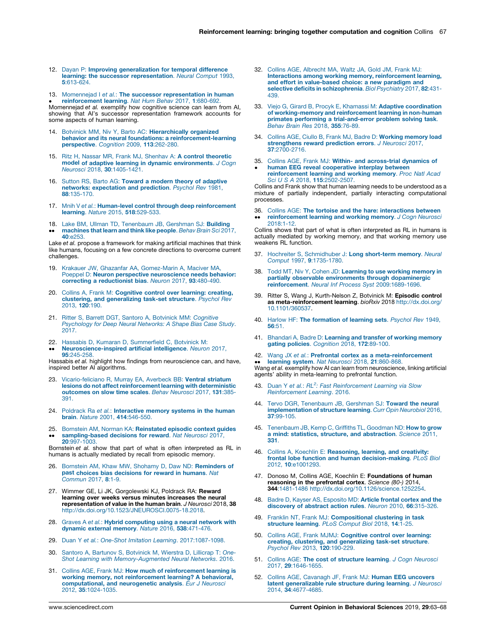- <span id="page-4-0"></span>12. Dayan P: Improving [generalization](http://refhub.elsevier.com/S2352-1546(18)30175-X/sbref0060) for temporal difference learning: the successor [representation](http://refhub.elsevier.com/S2352-1546(18)30175-X/sbref0060). Neural Comput 1993, 5[:613-624.](http://refhub.elsevier.com/S2352-1546(18)30175-X/sbref0060)
- 13. Momennejad I et al.: The successor [representation](http://refhub.elsevier.com/S2352-1546(18)30175-X/sbref0065) in human

• **Temorcement learning**. Nat Hurn Benav 2017, 1.060-692.<br>Momennejad et al. exemplify how cognitive science can learn from AI, [reinforcement](http://refhub.elsevier.com/S2352-1546(18)30175-X/sbref0065) learning. Nat Hum Behav 2017, 1:680-692. showing that AI's successor representation framework accounts for some aspects of human learning.

- 14. Botvinick MM, Niv Y, Barto AC: [Hierarchically](http://refhub.elsevier.com/S2352-1546(18)30175-X/sbref0070) organized behavior and its neural foundations: a [reinforcement-learning](http://refhub.elsevier.com/S2352-1546(18)30175-X/sbref0070) [perspective](http://refhub.elsevier.com/S2352-1546(18)30175-X/sbref0070). Cognition 2009, 113:262-280.
- 15. Ritz H, Nassar MR, Frank MJ, Shenhav A: A control [theoretic](http://refhub.elsevier.com/S2352-1546(18)30175-X/sbref0075) model of adaptive learning in dynamic [environments](http://refhub.elsevier.com/S2352-1546(18)30175-X/sbref0075). J Cogn Neurosci 2018, 30[:1405-1421.](http://refhub.elsevier.com/S2352-1546(18)30175-X/sbref0075)
- 16. Sutton RS, Barto AG: Toward a modern theory of [adaptive](http://refhub.elsevier.com/S2352-1546(18)30175-X/sbref0080) networks: [expectation](http://refhub.elsevier.com/S2352-1546(18)30175-X/sbref0080) and prediction. Psychol Rev 1981, 88[:135-170.](http://refhub.elsevier.com/S2352-1546(18)30175-X/sbref0080)
- 17. Mnih V et al.: Human-level control through deep [reinforcement](http://refhub.elsevier.com/S2352-1546(18)30175-X/sbref0085) learning. Nature 2015, 518[:529-533.](http://refhub.elsevier.com/S2352-1546(18)30175-X/sbref0085)
- 18. Lake BM, Ullman TD, [Tenenbaum](http://refhub.elsevier.com/S2352-1546(18)30175-X/sbref0090) JB, Gershman SJ: Building

 $\bullet\bullet$ [machines](http://refhub.elsevier.com/S2352-1546(18)30175-X/sbref0090) that learn and think like people. Behav Brain Sci 2017, 40[:e253.](http://refhub.elsevier.com/S2352-1546(18)30175-X/sbref0090)

Lake et al. propose a framework for making artificial machines that think like humans, focusing on a few concrete directions to overcome current challenges.

- 19. Krakauer JW, Ghazanfar AA, [Gomez-Marin](http://refhub.elsevier.com/S2352-1546(18)30175-X/sbref0095) A, Maciver MA, Poeppel D: Neuron perspective [neuroscience](http://refhub.elsevier.com/S2352-1546(18)30175-X/sbref0095) needs behavior: correcting a [reductionist](http://refhub.elsevier.com/S2352-1546(18)30175-X/sbref0095) bias. Neuron 2017, 93:480-490.
- 20. Collins A, Frank M: [Cognitive](http://refhub.elsevier.com/S2352-1546(18)30175-X/sbref0100) control over learning: creating, and [generalizing](http://refhub.elsevier.com/S2352-1546(18)30175-X/sbref0100) task-set structure. Psychol Rev [2013,](http://refhub.elsevier.com/S2352-1546(18)30175-X/sbref0100) 120:190.
- 21. Ritter S, Barrett DGT, Santoro A, Botvinick MM: [Cognitive](http://refhub.elsevier.com/S2352-1546(18)30175-X/sbref0105) [Psychology](http://refhub.elsevier.com/S2352-1546(18)30175-X/sbref0105) for Deep Neural Networks: A Shape Bias Case Study. [2017.](http://refhub.elsevier.com/S2352-1546(18)30175-X/sbref0105)
- 22. Hassabis D, Kumaran D, [Summerfield](http://refhub.elsevier.com/S2352-1546(18)30175-X/sbref0110) C, Botvinick M:
- $\ddot{\phantom{0}}$ [Neuroscience-inspired](http://refhub.elsevier.com/S2352-1546(18)30175-X/sbref0110) artificial intelligence. Neuron 2017, 95[:245-258.](http://refhub.elsevier.com/S2352-1546(18)30175-X/sbref0110)

Hassabis et al. highlight how findings from neuroscience can, and have, inspired better AI algorithms.

- 23. [Vicario-feliciano](http://refhub.elsevier.com/S2352-1546(18)30175-X/sbref0115) R, Murray EA, Averbeck BB: Ventral striatum lesions do not affect [reinforcement](http://refhub.elsevier.com/S2352-1546(18)30175-X/sbref0115) learning with deterministic [outcomes](http://refhub.elsevier.com/S2352-1546(18)30175-X/sbref0115) on slow time scales. Behav Neurosci 2017, 131:385- [391.](http://refhub.elsevier.com/S2352-1546(18)30175-X/sbref0115)
- 24. Poldrack Ra et al.: [Interactive](http://refhub.elsevier.com/S2352-1546(18)30175-X/sbref0120) memory systems in the human brain. Nature 2001, 414[:546-550.](http://refhub.elsevier.com/S2352-1546(18)30175-X/sbref0120)
- 25. Bornstein AM, Norman KA: [Reinstated](http://refhub.elsevier.com/S2352-1546(18)30175-X/sbref0125) episodic context guides  $\bullet\bullet$ [sampling-based](http://refhub.elsevier.com/S2352-1546(18)30175-X/sbref0125) decisions for reward. Nat Neurosci 2017, 20[:997-1003.](http://refhub.elsevier.com/S2352-1546(18)30175-X/sbref0125)

Bornstein et al. show that part of what is often interpreted as RL in humans is actually mediated by recall from episodic memory.

- 26. Bornstein AM, Khaw MW, Shohamy D, Daw ND: [Reminders](http://refhub.elsevier.com/S2352-1546(18)30175-X/sbref0130) of past choices bias [decisions](http://refhub.elsevier.com/S2352-1546(18)30175-X/sbref0130) for reward in humans. Nat [Commun](http://refhub.elsevier.com/S2352-1546(18)30175-X/sbref0130) 2017, 8:1-9.
- 27. Wimmer GE, Li JK, Gorgolewski KJ, Poldrack RA: Reward learning over weeks versus minutes increases the neural representation of value in the human brain. J Neurosci 2018, 38 <http://dx.doi.org/10.1523/JNEUROSCI.0075-18.2018>.
- 28. Graves A et al.: Hybrid [computing](http://refhub.elsevier.com/S2352-1546(18)30175-X/sbref0140) using a neural network with dynamic external memory. Nature 2016, 538[:471-476.](http://refhub.elsevier.com/S2352-1546(18)30175-X/sbref0140)
- 29. Duan Y et al.: One-Shot Imitation Learning. [2017:1087-1098.](http://refhub.elsevier.com/S2352-1546(18)30175-X/sbref0145)
- 30. Santoro A, Bartunov S, [Botvinick](http://refhub.elsevier.com/S2352-1546(18)30175-X/sbref0150) M, Wierstra D, Lillicrap T: One-Shot Learning with [Memory-Augmented](http://refhub.elsevier.com/S2352-1546(18)30175-X/sbref0150) Neural Networks. 2016.
- 31. Collins AGE, Frank MJ: How much of [reinforcement](http://refhub.elsevier.com/S2352-1546(18)30175-X/sbref0155) learning is working memory, not [reinforcement](http://refhub.elsevier.com/S2352-1546(18)30175-X/sbref0155) learning? A behavioral, [computational,](http://refhub.elsevier.com/S2352-1546(18)30175-X/sbref0155) and neurogenetic analysis. Eur J Neurosci 2012, 35[:1024-1035.](http://refhub.elsevier.com/S2352-1546(18)30175-X/sbref0155)
- 32. Collins AGE, [Albrecht](http://refhub.elsevier.com/S2352-1546(18)30175-X/sbref0160) MA, Waltz JA, Gold JM, Frank MJ: Interactions among working memory, [reinforcement](http://refhub.elsevier.com/S2352-1546(18)30175-X/sbref0160) learning, and effort in [value-based](http://refhub.elsevier.com/S2352-1546(18)30175-X/sbref0160) choice: a new paradigm and selective deficits in [schizophrenia](http://refhub.elsevier.com/S2352-1546(18)30175-X/sbref0160). Biol Psychiatry 2017, 82:431-[439.](http://refhub.elsevier.com/S2352-1546(18)30175-X/sbref0160)
- 33. Viejo G, Girard B, Procyk E, Khamassi M: Adaptive [coordination](http://refhub.elsevier.com/S2352-1546(18)30175-X/sbref0165) of [working-memory](http://refhub.elsevier.com/S2352-1546(18)30175-X/sbref0165) and reinforcement learning in non-human primates performing a [trial-and-error](http://refhub.elsevier.com/S2352-1546(18)30175-X/sbref0165) problem solving task. Behav Brain Res 2018, 355[:76-89.](http://refhub.elsevier.com/S2352-1546(18)30175-X/sbref0165)
- 34. Collins AGE, Ciullo B, Frank MJ, Badre D: [Working](http://refhub.elsevier.com/S2352-1546(18)30175-X/sbref0170) memory load [strengthens](http://refhub.elsevier.com/S2352-1546(18)30175-X/sbref0170) reward prediction errors. J Neurosci 2017, 37[:2700-2716.](http://refhub.elsevier.com/S2352-1546(18)30175-X/sbref0170)
- 35. Collins AGE, Frank MJ: Within- and [across-trial](http://refhub.elsevier.com/S2352-1546(18)30175-X/sbref0175) dynamics of
- $\cdot$ human EEG reveal [cooperative](http://refhub.elsevier.com/S2352-1546(18)30175-X/sbref0175) interplay between [reinforcement](http://refhub.elsevier.com/S2352-1546(18)30175-X/sbref0175) learning and working memory. Proc Natl Acad<br>Sci U S A 2018, 115[:2502-2507.](http://refhub.elsevier.com/S2352-1546(18)30175-X/sbref0175)

Collins and Frank show that human learning needs to be understood as a mixture of partially independent, partially interacting computational processes.

36. Collins AGE: The tortoise and the hare: [interactions](http://refhub.elsevier.com/S2352-1546(18)30175-X/sbref0180) between  $\ddot{\phantom{0}}$ [reinforcement](http://refhub.elsevier.com/S2352-1546(18)30175-X/sbref0180) learning and working memory. J Cogn Neurosci [2018:1-12.](http://refhub.elsevier.com/S2352-1546(18)30175-X/sbref0180)

Collins shows that part of what is often interpreted as RL in humans is actually mediated by working memory, and that working memory use weakens RL function.

- 37. Hochreiter S, [Schmidhuber](http://refhub.elsevier.com/S2352-1546(18)30175-X/sbref0185) J: Long short-term memory. Neural Comput 1997, 9[:1735-1780.](http://refhub.elsevier.com/S2352-1546(18)30175-X/sbref0185)
- 38. Todd MT, Niv Y, Cohen JD: [Learning](http://refhub.elsevier.com/S2352-1546(18)30175-X/sbref0190) to use working memory in partially observable environments through [dopaminergic](http://refhub.elsevier.com/S2352-1546(18)30175-X/sbref0190) reinforcement. Neural Inf Process Syst [2009:1689-1696.](http://refhub.elsevier.com/S2352-1546(18)30175-X/sbref0190)
- 39. Ritter S, Wang J, Kurth-Nelson Z, Botvinick M: Episodic control as meta-reinforcement learning. bioRxiv 2018 [http://dx.doi.org/](http://dx.doi.org/10.1101/360537) [10.1101/360537.](http://dx.doi.org/10.1101/360537)
- 40. Harlow HF: The [formation](http://refhub.elsevier.com/S2352-1546(18)30175-X/sbref0200) of learning sets. Psychol Rev 1949, 56[:51.](http://refhub.elsevier.com/S2352-1546(18)30175-X/sbref0200)
- 41. Bhandari A, Badre D: [Learning](http://refhub.elsevier.com/S2352-1546(18)30175-X/sbref0205) and transfer of working memory gating policies. [Cognition](http://refhub.elsevier.com/S2352-1546(18)30175-X/sbref0205) 2018, 172:89-100.

#### 42. Wang JX et al.: Prefrontal cortex as a [meta-reinforcement](http://refhub.elsevier.com/S2352-1546(18)30175-X/sbref0210)

•• learning system. Nat Neurosci 2018, 21:860-868.<br>Wang et al. exemplify how AI can learn from neuroscience, linking artificial learning system. Nat Neurosci 2018, 21[:860-868.](http://refhub.elsevier.com/S2352-1546(18)30175-X/sbref0210) agents' ability in meta-learning to prefrontal function.

- 43. Duan Y et al.: RL<sup>2</sup>: Fast [Reinforcement](http://refhub.elsevier.com/S2352-1546(18)30175-X/sbref0215) Learning via Slow [Reinforcement](http://refhub.elsevier.com/S2352-1546(18)30175-X/sbref0215) Learning. 2016.
- 44. Tervo DGR, [Tenenbaum](http://refhub.elsevier.com/S2352-1546(18)30175-X/sbref0220) JB, Gershman SJ: Toward the neural [implementation](http://refhub.elsevier.com/S2352-1546(18)30175-X/sbref0220) of structure learning. Curr Opin Neurobiol 2016, 37[:99-105.](http://refhub.elsevier.com/S2352-1546(18)30175-X/sbref0220)
- 45. [Tenenbaum](http://refhub.elsevier.com/S2352-1546(18)30175-X/sbref0225) JB, Kemp C, Griffiths TL, Goodman ND: How to grow a mind: statistics, structure, and [abstraction](http://refhub.elsevier.com/S2352-1546(18)30175-X/sbref0225). Science 2011, [331](http://refhub.elsevier.com/S2352-1546(18)30175-X/sbref0225).
- 46. Collins A, Koechlin E: [Reasoning,](http://refhub.elsevier.com/S2352-1546(18)30175-X/sbref0230) learning, and creativity: frontal lobe function and human [decision-making](http://refhub.elsevier.com/S2352-1546(18)30175-X/sbref0230). PLoS Biol 2012, 10[:e1001293.](http://refhub.elsevier.com/S2352-1546(18)30175-X/sbref0230)
- 47. Donoso M, Collins AGE, Koechlin E: Foundations of human reasoning in the prefrontal cortex. Science (80-) 2014, 344:1481-1486 <http://dx.doi.org/10.1126/science.1252254>.
- 48. Badre D, Kayser AS, [Esposito](http://refhub.elsevier.com/S2352-1546(18)30175-X/sbref0240) MD: Article frontal cortex and the [discovery](http://refhub.elsevier.com/S2352-1546(18)30175-X/sbref0240) of abstract action rules. Neuron 2010, 66:315-326.
- 49. Franklin NT, Frank MJ: [Compositional](http://refhub.elsevier.com/S2352-1546(18)30175-X/sbref0245) clustering in task [structure](http://refhub.elsevier.com/S2352-1546(18)30175-X/sbref0245) learning. PLoS Comput Biol 2018, 14:1-25.
- 50. Collins AGE, Frank MJMJ: [Cognitive](http://refhub.elsevier.com/S2352-1546(18)30175-X/sbref0250) control over learning: creating, clustering, and [generalizing](http://refhub.elsevier.com/S2352-1546(18)30175-X/sbref0250) task-set structure. Psychol Rev 2013, 120[:190-229.](http://refhub.elsevier.com/S2352-1546(18)30175-X/sbref0250)
- 51. Collins AGE: The cost of [structure](http://refhub.elsevier.com/S2352-1546(18)30175-X/sbref0255) learning. J Cogn Neurosci 2017, 29[:1646-1655.](http://refhub.elsevier.com/S2352-1546(18)30175-X/sbref0255)
- 52. Collins AGE, [Cavanagh](http://refhub.elsevier.com/S2352-1546(18)30175-X/sbref0260) JF, Frank MJ: Human EEG uncovers latent [generalizable](http://refhub.elsevier.com/S2352-1546(18)30175-X/sbref0260) rule structure during learning. J Neurosci 2014, 34[:4677-4685.](http://refhub.elsevier.com/S2352-1546(18)30175-X/sbref0260)